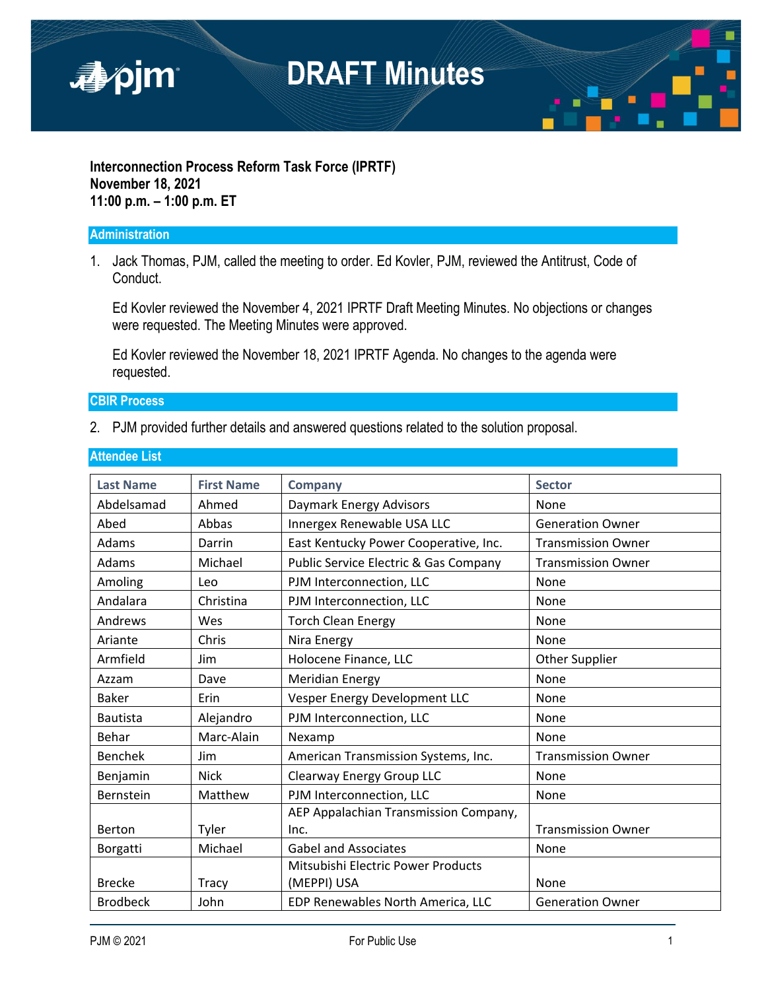

#### **Interconnection Process Reform Task Force (IPRTF) November 18, 2021 11:00 p.m. – 1:00 p.m. ET**

#### **Administration**

1. Jack Thomas, PJM, called the meeting to order. Ed Kovler, PJM, reviewed the Antitrust, Code of Conduct.

Ed Kovler reviewed the November 4, 2021 IPRTF Draft Meeting Minutes. No objections or changes were requested. The Meeting Minutes were approved.

Ed Kovler reviewed the November 18, 2021 IPRTF Agenda. No changes to the agenda were requested.

#### **CBIR Process**

2. PJM provided further details and answered questions related to the solution proposal.

| <b>Last Name</b> | <b>First Name</b> | <b>Company</b>                                   | <b>Sector</b>             |
|------------------|-------------------|--------------------------------------------------|---------------------------|
| Abdelsamad       | Ahmed             | Daymark Energy Advisors                          | None                      |
| Abed             | Abbas             | Innergex Renewable USA LLC                       | <b>Generation Owner</b>   |
| Adams            | Darrin            | East Kentucky Power Cooperative, Inc.            | <b>Transmission Owner</b> |
| Adams            | Michael           | <b>Public Service Electric &amp; Gas Company</b> | <b>Transmission Owner</b> |
| Amoling          | Leo               | PJM Interconnection, LLC                         | None                      |
| Andalara         | Christina         | PJM Interconnection, LLC                         | None                      |
| Andrews          | Wes               | <b>Torch Clean Energy</b>                        | None                      |
| Ariante          | Chris             | Nira Energy                                      | None                      |
| Armfield         | Jim               | Holocene Finance, LLC                            | Other Supplier            |
| Azzam            | Dave              | <b>Meridian Energy</b>                           | None                      |
| <b>Baker</b>     | Erin              | Vesper Energy Development LLC                    | None                      |
| <b>Bautista</b>  | Alejandro         | PJM Interconnection, LLC                         | None                      |
| Behar            | Marc-Alain        | Nexamp                                           | None                      |
| <b>Benchek</b>   | Jim               | American Transmission Systems, Inc.              | <b>Transmission Owner</b> |
| Benjamin         | <b>Nick</b>       | Clearway Energy Group LLC                        | None                      |
| Bernstein        | Matthew           | PJM Interconnection, LLC                         | None                      |
|                  |                   | AEP Appalachian Transmission Company,            |                           |
| Berton           | Tyler             | Inc.                                             | <b>Transmission Owner</b> |
| Borgatti         | Michael           | <b>Gabel and Associates</b>                      | None                      |
|                  |                   | Mitsubishi Electric Power Products               |                           |
| <b>Brecke</b>    | Tracy             | (MEPPI) USA                                      | None                      |
| <b>Brodbeck</b>  | John              | EDP Renewables North America, LLC                | <b>Generation Owner</b>   |

#### **Attendee List**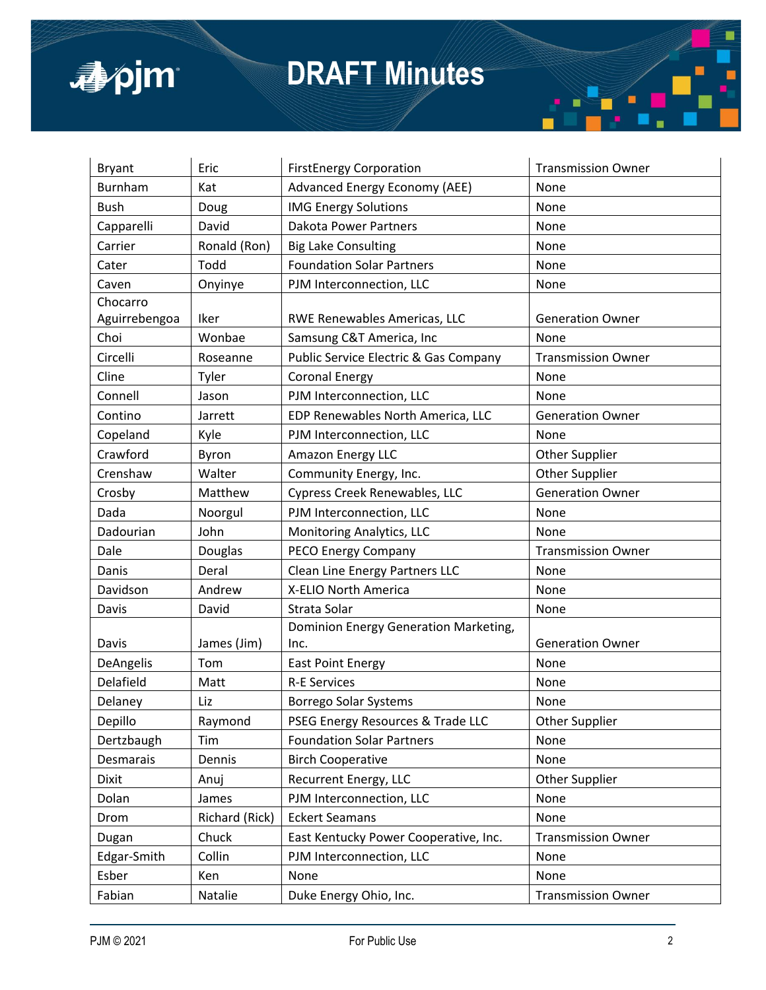

## **DRAFT Minutes**

| <b>Bryant</b> | Eric           | <b>FirstEnergy Corporation</b>        | <b>Transmission Owner</b> |
|---------------|----------------|---------------------------------------|---------------------------|
| Burnham       | Kat            | <b>Advanced Energy Economy (AEE)</b>  | None                      |
| Bush          | Doug           | <b>IMG Energy Solutions</b>           | None                      |
| Capparelli    | David          | <b>Dakota Power Partners</b>          | None                      |
| Carrier       | Ronald (Ron)   | <b>Big Lake Consulting</b>            | None                      |
| Cater         | Todd           | <b>Foundation Solar Partners</b>      | None                      |
| Caven         | Onyinye        | PJM Interconnection, LLC              | None                      |
| Chocarro      |                |                                       |                           |
| Aguirrebengoa | Iker           | RWE Renewables Americas, LLC          | <b>Generation Owner</b>   |
| Choi          | Wonbae         | Samsung C&T America, Inc              | None                      |
| Circelli      | Roseanne       | Public Service Electric & Gas Company | <b>Transmission Owner</b> |
| Cline         | Tyler          | <b>Coronal Energy</b>                 | None                      |
| Connell       | Jason          | PJM Interconnection, LLC              | None                      |
| Contino       | Jarrett        | EDP Renewables North America, LLC     | <b>Generation Owner</b>   |
| Copeland      | Kyle           | PJM Interconnection, LLC              | None                      |
| Crawford      | Byron          | Amazon Energy LLC                     | Other Supplier            |
| Crenshaw      | Walter         | Community Energy, Inc.                | <b>Other Supplier</b>     |
| Crosby        | Matthew        | Cypress Creek Renewables, LLC         | <b>Generation Owner</b>   |
| Dada          | Noorgul        | PJM Interconnection, LLC              | None                      |
| Dadourian     | John           | Monitoring Analytics, LLC             | None                      |
| Dale          | Douglas        | PECO Energy Company                   | <b>Transmission Owner</b> |
| Danis         | Deral          | Clean Line Energy Partners LLC        | None                      |
| Davidson      | Andrew         | X-ELIO North America                  | None                      |
| Davis         | David          | Strata Solar                          | None                      |
|               |                | Dominion Energy Generation Marketing, |                           |
| Davis         | James (Jim)    | Inc.                                  | <b>Generation Owner</b>   |
| DeAngelis     | Tom            | <b>East Point Energy</b>              | None                      |
| Delafield     | Matt           | <b>R-E Services</b>                   | None                      |
| Delaney       | Liz            | <b>Borrego Solar Systems</b>          | None                      |
| Depillo       | Raymond        | PSEG Energy Resources & Trade LLC     | <b>Other Supplier</b>     |
| Dertzbaugh    | Tim            | <b>Foundation Solar Partners</b>      | None                      |
| Desmarais     | Dennis         | <b>Birch Cooperative</b>              | None                      |
| Dixit         | Anuj           | Recurrent Energy, LLC                 | Other Supplier            |
| Dolan         | James          | PJM Interconnection, LLC              | None                      |
| Drom          | Richard (Rick) | <b>Eckert Seamans</b>                 | None                      |
| Dugan         | Chuck          | East Kentucky Power Cooperative, Inc. | <b>Transmission Owner</b> |
| Edgar-Smith   | Collin         | PJM Interconnection, LLC              | None                      |
| Esber         | Ken            | None                                  | None                      |
| Fabian        | Natalie        | Duke Energy Ohio, Inc.                | <b>Transmission Owner</b> |

i.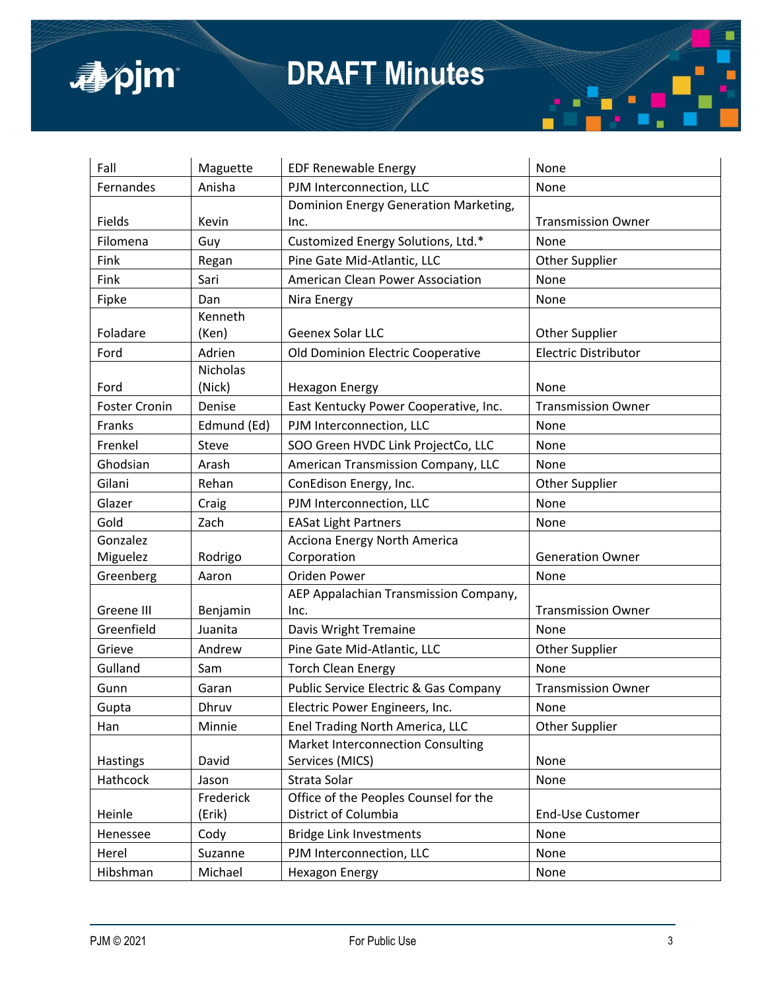

### **DRAFT Minutes**



| Fall                 | Maguette        | <b>EDF Renewable Energy</b>              | None                        |
|----------------------|-----------------|------------------------------------------|-----------------------------|
| Fernandes            | Anisha          | PJM Interconnection, LLC                 | None                        |
|                      |                 | Dominion Energy Generation Marketing,    |                             |
| Fields               | Kevin           | Inc.                                     | <b>Transmission Owner</b>   |
| Filomena             | Guy             | Customized Energy Solutions, Ltd.*       | None                        |
| Fink                 | Regan           | Pine Gate Mid-Atlantic, LLC              | Other Supplier              |
| Fink                 | Sari            | American Clean Power Association         | None                        |
| Fipke                | Dan             | Nira Energy                              | None                        |
|                      | Kenneth         |                                          |                             |
| Foladare             | (Ken)           | Geenex Solar LLC                         | <b>Other Supplier</b>       |
| Ford                 | Adrien          | Old Dominion Electric Cooperative        | <b>Electric Distributor</b> |
|                      | <b>Nicholas</b> |                                          |                             |
| Ford                 | (Nick)          | <b>Hexagon Energy</b>                    | None                        |
| <b>Foster Cronin</b> | Denise          | East Kentucky Power Cooperative, Inc.    | <b>Transmission Owner</b>   |
| Franks               | Edmund (Ed)     | PJM Interconnection, LLC                 | None                        |
| Frenkel              | Steve           | SOO Green HVDC Link ProjectCo, LLC       | None                        |
| Ghodsian             | Arash           | American Transmission Company, LLC       | None                        |
| Gilani               | Rehan           | ConEdison Energy, Inc.                   | <b>Other Supplier</b>       |
| Glazer               | Craig           | PJM Interconnection, LLC                 | None                        |
| Gold                 | Zach            | <b>EASat Light Partners</b>              | None                        |
| Gonzalez             |                 | Acciona Energy North America             |                             |
| Miguelez             | Rodrigo         | Corporation                              | <b>Generation Owner</b>     |
| Greenberg            | Aaron           | Oriden Power                             | None                        |
|                      |                 | AEP Appalachian Transmission Company,    |                             |
| Greene III           | Benjamin        | Inc.                                     | <b>Transmission Owner</b>   |
| Greenfield           | Juanita         | Davis Wright Tremaine                    | None                        |
| Grieve               | Andrew          | Pine Gate Mid-Atlantic, LLC              | Other Supplier              |
| Gulland              | Sam             | <b>Torch Clean Energy</b>                | None                        |
| Gunn                 | Garan           | Public Service Electric & Gas Company    | <b>Transmission Owner</b>   |
| Gupta                | Dhruv           | Electric Power Engineers, Inc.           | None                        |
| Han                  | Minnie          | Enel Trading North America, LLC          | Other Supplier              |
|                      |                 | <b>Market Interconnection Consulting</b> |                             |
| Hastings             | David           | Services (MICS)                          | None                        |
| Hathcock             | Jason           | Strata Solar                             | None                        |
|                      | Frederick       | Office of the Peoples Counsel for the    |                             |
| Heinle               | (Erik)          | District of Columbia                     | End-Use Customer            |
| Henessee             | Cody            | <b>Bridge Link Investments</b>           | None                        |
| Herel                | Suzanne         | PJM Interconnection, LLC                 | None                        |
| Hibshman             | Michael         | <b>Hexagon Energy</b>                    | None                        |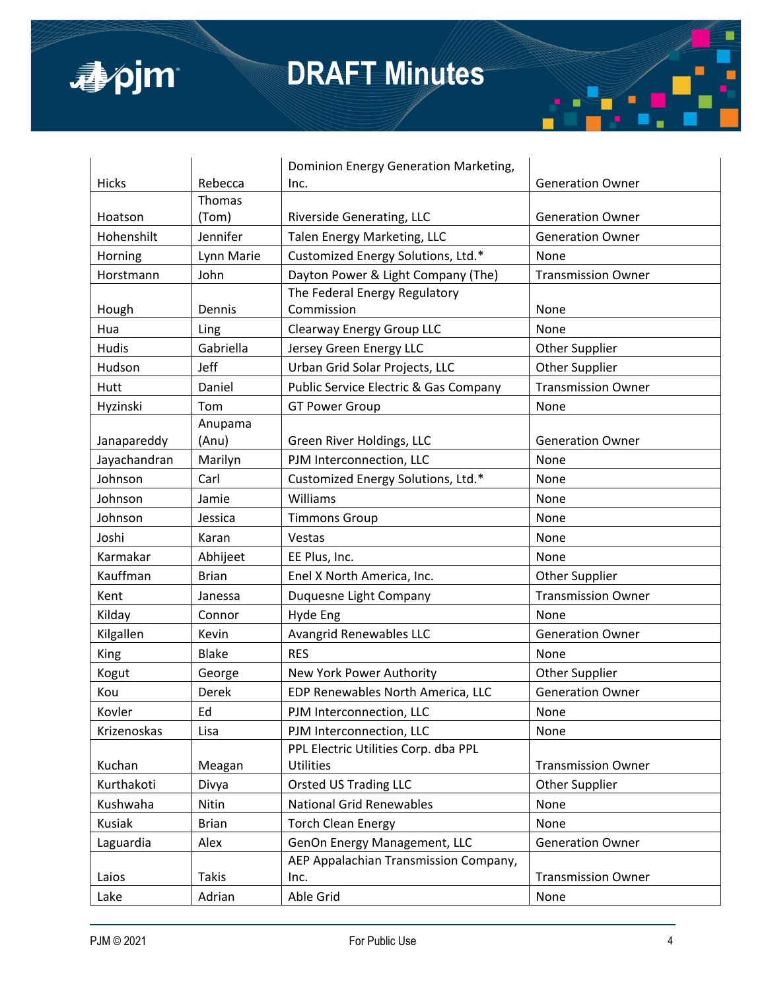

|              |              | Dominion Energy Generation Marketing, |                           |
|--------------|--------------|---------------------------------------|---------------------------|
| Hicks        | Rebecca      | Inc.                                  | <b>Generation Owner</b>   |
|              | Thomas       |                                       |                           |
| Hoatson      | (Tom)        | Riverside Generating, LLC             | <b>Generation Owner</b>   |
| Hohenshilt   | Jennifer     | Talen Energy Marketing, LLC           | <b>Generation Owner</b>   |
| Horning      | Lynn Marie   | Customized Energy Solutions, Ltd.*    | None                      |
| Horstmann    | John         | Dayton Power & Light Company (The)    | <b>Transmission Owner</b> |
|              |              | The Federal Energy Regulatory         |                           |
| Hough        | Dennis       | Commission                            | None                      |
| Hua          | Ling         | Clearway Energy Group LLC             | None                      |
| Hudis        | Gabriella    | Jersey Green Energy LLC               | Other Supplier            |
| Hudson       | Jeff         | Urban Grid Solar Projects, LLC        | Other Supplier            |
| Hutt         | Daniel       | Public Service Electric & Gas Company | <b>Transmission Owner</b> |
| Hyzinski     | Tom          | <b>GT Power Group</b>                 | None                      |
|              | Anupama      |                                       |                           |
| Janapareddy  | (Anu)        | Green River Holdings, LLC             | <b>Generation Owner</b>   |
| Jayachandran | Marilyn      | PJM Interconnection, LLC              | None                      |
| Johnson      | Carl         | Customized Energy Solutions, Ltd.*    | None                      |
| Johnson      | Jamie        | Williams                              | None                      |
| Johnson      | Jessica      | <b>Timmons Group</b>                  | None                      |
| Joshi        | Karan        | Vestas                                | None                      |
| Karmakar     | Abhijeet     | EE Plus, Inc.                         | None                      |
| Kauffman     | <b>Brian</b> | Enel X North America, Inc.            | Other Supplier            |
| Kent         | Janessa      | Duquesne Light Company                | <b>Transmission Owner</b> |
| Kilday       | Connor       | Hyde Eng                              | None                      |
| Kilgallen    | Kevin        | Avangrid Renewables LLC               | <b>Generation Owner</b>   |
| <b>King</b>  | <b>Blake</b> | <b>RES</b>                            | None                      |
| Kogut        | George       | New York Power Authority              | <b>Other Supplier</b>     |
| Kou          | Derek        | EDP Renewables North America, LLC     | <b>Generation Owner</b>   |
| Kovler       | Ed           | PJM Interconnection, LLC              | None                      |
| Krizenoskas  | Lisa         | PJM Interconnection, LLC              | None                      |
|              |              | PPL Electric Utilities Corp. dba PPL  |                           |
| Kuchan       | Meagan       | <b>Utilities</b>                      | <b>Transmission Owner</b> |
| Kurthakoti   | Divya        | <b>Orsted US Trading LLC</b>          | Other Supplier            |
| Kushwaha     | Nitin        | <b>National Grid Renewables</b>       | None                      |
| Kusiak       | <b>Brian</b> | <b>Torch Clean Energy</b>             | None                      |
| Laguardia    | Alex         | GenOn Energy Management, LLC          | <b>Generation Owner</b>   |
|              |              | AEP Appalachian Transmission Company, |                           |
| Laios        | <b>Takis</b> | Inc.                                  | <b>Transmission Owner</b> |
| Lake         | Adrian       | Able Grid                             | None                      |

г

п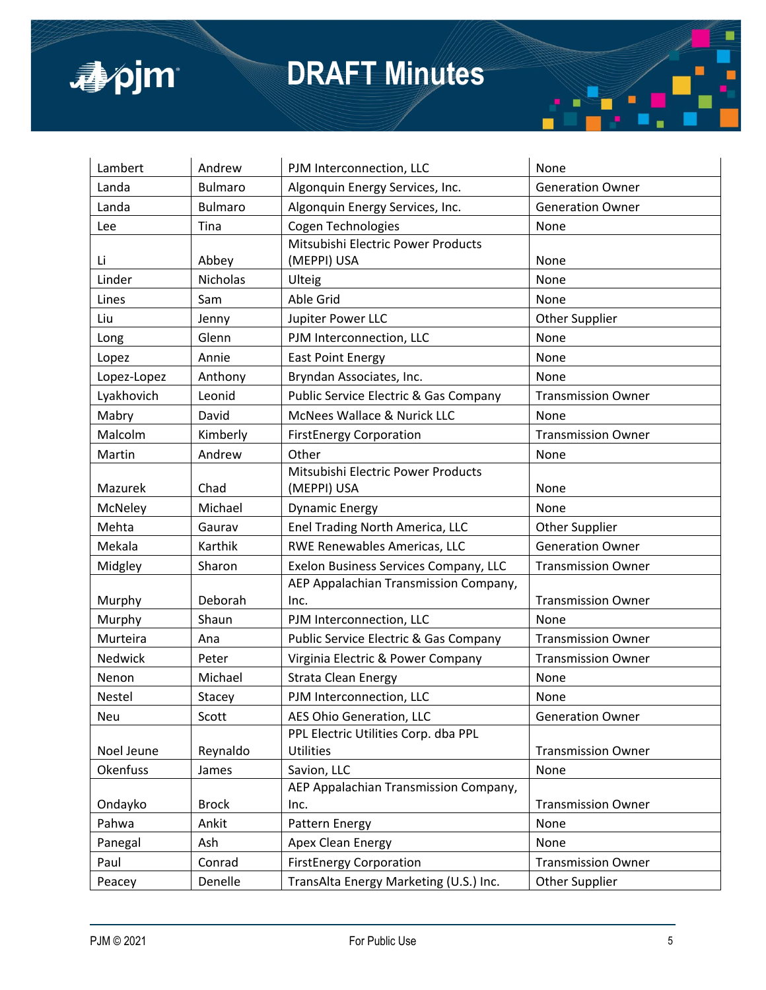

| Lambert     | Andrew          | PJM Interconnection, LLC               | None                      |
|-------------|-----------------|----------------------------------------|---------------------------|
| Landa       | <b>Bulmaro</b>  | Algonquin Energy Services, Inc.        | <b>Generation Owner</b>   |
| Landa       | <b>Bulmaro</b>  | Algonquin Energy Services, Inc.        | <b>Generation Owner</b>   |
| Lee         | Tina            | Cogen Technologies                     | None                      |
|             |                 | Mitsubishi Electric Power Products     |                           |
| Li          | Abbey           | (MEPPI) USA                            | None                      |
| Linder      | <b>Nicholas</b> | Ulteig                                 | None                      |
| Lines       | Sam             | Able Grid                              | None                      |
| Liu         | Jenny           | Jupiter Power LLC                      | Other Supplier            |
| Long        | Glenn           | PJM Interconnection, LLC               | None                      |
| Lopez       | Annie           | <b>East Point Energy</b>               | None                      |
| Lopez-Lopez | Anthony         | Bryndan Associates, Inc.               | None                      |
| Lyakhovich  | Leonid          | Public Service Electric & Gas Company  | <b>Transmission Owner</b> |
| Mabry       | David           | McNees Wallace & Nurick LLC            | None                      |
| Malcolm     | Kimberly        | <b>FirstEnergy Corporation</b>         | <b>Transmission Owner</b> |
| Martin      | Andrew          | Other                                  | None                      |
|             |                 | Mitsubishi Electric Power Products     |                           |
| Mazurek     | Chad            | (MEPPI) USA                            | None                      |
| McNeley     | Michael         | <b>Dynamic Energy</b>                  | None                      |
| Mehta       | Gaurav          | Enel Trading North America, LLC        | Other Supplier            |
| Mekala      | Karthik         | RWE Renewables Americas, LLC           | <b>Generation Owner</b>   |
| Midgley     | Sharon          | Exelon Business Services Company, LLC  | <b>Transmission Owner</b> |
|             |                 | AEP Appalachian Transmission Company,  |                           |
| Murphy      | Deborah         | Inc.                                   | <b>Transmission Owner</b> |
| Murphy      | Shaun           | PJM Interconnection, LLC               | None                      |
| Murteira    | Ana             | Public Service Electric & Gas Company  | <b>Transmission Owner</b> |
| Nedwick     | Peter           | Virginia Electric & Power Company      | <b>Transmission Owner</b> |
| Nenon       | Michael         | <b>Strata Clean Energy</b>             | None                      |
| Nestel      | Stacey          | PJM Interconnection, LLC               | None                      |
| Neu         | Scott           | AES Ohio Generation, LLC               | <b>Generation Owner</b>   |
|             |                 | PPL Electric Utilities Corp. dba PPL   |                           |
| Noel Jeune  | Reynaldo        | Utilities                              | <b>Transmission Owner</b> |
| Okenfuss    | James           | Savion, LLC                            | None                      |
|             |                 | AEP Appalachian Transmission Company,  |                           |
| Ondayko     | <b>Brock</b>    | Inc.                                   | <b>Transmission Owner</b> |
| Pahwa       | Ankit           | Pattern Energy                         | None                      |
| Panegal     | Ash             | Apex Clean Energy                      | None                      |
| Paul        | Conrad          | <b>FirstEnergy Corporation</b>         | <b>Transmission Owner</b> |
| Peacey      | Denelle         | TransAlta Energy Marketing (U.S.) Inc. | Other Supplier            |

г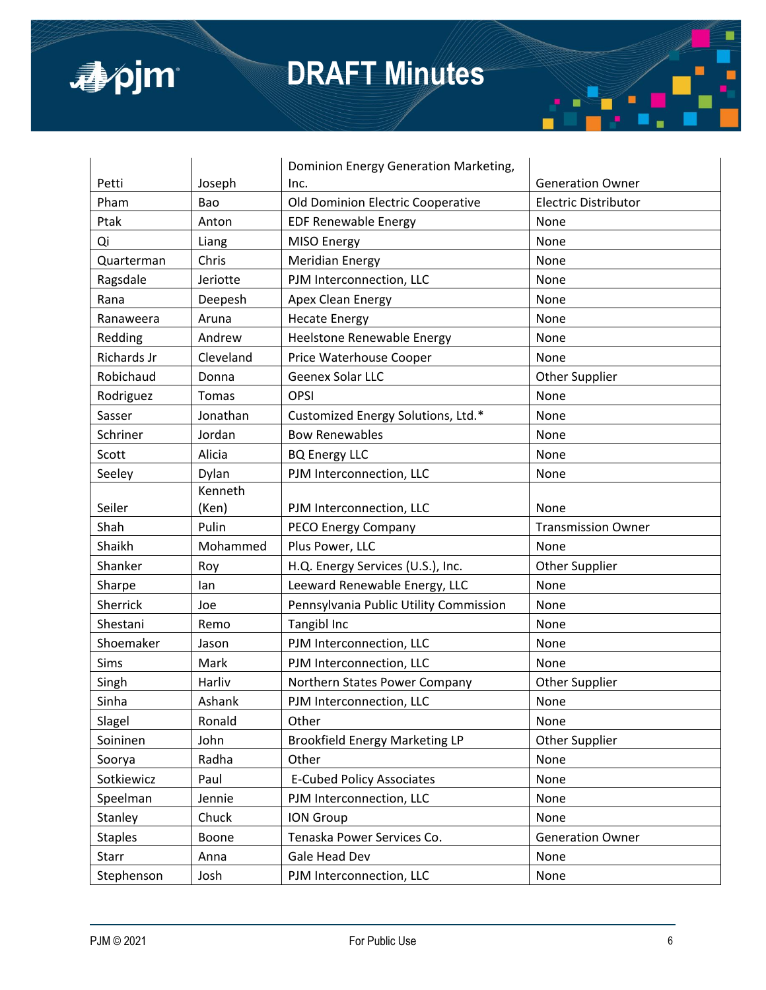

|                |           | Dominion Energy Generation Marketing,  |                             |
|----------------|-----------|----------------------------------------|-----------------------------|
| Petti          | Joseph    | Inc.                                   | <b>Generation Owner</b>     |
| Pham           | Bao       | Old Dominion Electric Cooperative      | <b>Electric Distributor</b> |
| Ptak           | Anton     | <b>EDF Renewable Energy</b>            | None                        |
| Qi             | Liang     | MISO Energy                            | None                        |
| Quarterman     | Chris     | <b>Meridian Energy</b>                 | None                        |
| Ragsdale       | Jeriotte  | PJM Interconnection, LLC               | None                        |
| Rana           | Deepesh   | Apex Clean Energy                      | None                        |
| Ranaweera      | Aruna     | <b>Hecate Energy</b>                   | None                        |
| Redding        | Andrew    | Heelstone Renewable Energy             | None                        |
| Richards Jr    | Cleveland | Price Waterhouse Cooper                | None                        |
| Robichaud      | Donna     | Geenex Solar LLC                       | <b>Other Supplier</b>       |
| Rodriguez      | Tomas     | <b>OPSI</b>                            | None                        |
| Sasser         | Jonathan  | Customized Energy Solutions, Ltd.*     | None                        |
| Schriner       | Jordan    | <b>Bow Renewables</b>                  | None                        |
| Scott          | Alicia    | <b>BQ Energy LLC</b>                   | None                        |
| Seeley         | Dylan     | PJM Interconnection, LLC               | None                        |
|                | Kenneth   |                                        |                             |
| Seiler         | (Ken)     | PJM Interconnection, LLC               | None                        |
| Shah           | Pulin     | PECO Energy Company                    | <b>Transmission Owner</b>   |
| Shaikh         | Mohammed  | Plus Power, LLC                        | None                        |
| Shanker        | Roy       | H.Q. Energy Services (U.S.), Inc.      | <b>Other Supplier</b>       |
| Sharpe         | lan       | Leeward Renewable Energy, LLC          | None                        |
| Sherrick       | Joe       | Pennsylvania Public Utility Commission | None                        |
| Shestani       | Remo      | Tangibl Inc                            | None                        |
| Shoemaker      | Jason     | PJM Interconnection, LLC               | None                        |
| Sims           | Mark      | PJM Interconnection, LLC               | None                        |
| Singh          | Harliv    | Northern States Power Company          | <b>Other Supplier</b>       |
| Sinha          | Ashank    | PJM Interconnection, LLC               | None                        |
| Slagel         | Ronald    | Other                                  | None                        |
| Soininen       | John      | <b>Brookfield Energy Marketing LP</b>  | Other Supplier              |
| Soorya         | Radha     | Other                                  | None                        |
| Sotkiewicz     | Paul      | <b>E-Cubed Policy Associates</b>       | None                        |
| Speelman       | Jennie    | PJM Interconnection, LLC               | None                        |
| Stanley        | Chuck     | <b>ION Group</b>                       | None                        |
| <b>Staples</b> | Boone     | Tenaska Power Services Co.             | <b>Generation Owner</b>     |
| Starr          | Anna      | Gale Head Dev                          | None                        |
| Stephenson     | Josh      | PJM Interconnection, LLC               | None                        |

п